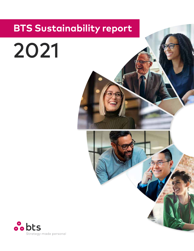# **BTS Sustainability report**

2021

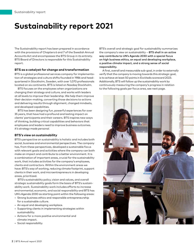# **Sustainability report 2021**

The Sustainability report has been prepared in accordance with the provisions of Chapters 6 and 7 of the Swedish Annual Accounts Act and encompasses the BTS Group in its entirety. BTS Board of Directors is responsible for this Sustainability report.

# **BTS as a catalyst for change and transformation**

BTS is a global professional services company for implementation of strategies and culture shifts founded in 1986 and headquartered in Stockholm, Sweden, with over 1,070 professionals located on six continents. BTS is listed on Nasdaq Stockholm.

BTS focuses on the employees when organizations are changing their strategy and culture, and works with leaders at all levels to improve their leadership. We help them improve their decision-making, converting those decisions to actions and delivering results through alignment, changed mindsets, and developed capabilities.

BTS has been designing fun, powerful experiences for over 35 years, that have had a profound and lasting impact on clients' participants and their careers. BTS inspires new ways of thinking, building critical capabilities and behaviors that employees and leaders need to improve business outcomes. *It's strategy made personal.* 

## **BTS's view on sustainability**

BTS's perspective on sustainability is holistic and includes both social, business and environmental perspectives. The company has, from these perspectives, developed a sustainable focus with relevant goals and activities where the company can both make an impact and contribute to a better environment. It is a combination of important areas, crucial for the sustainability work, that includes activities for the company's employees, clients and contractors. Within the environment areas we have: BTS's way of working, reducing climate footprint, support clients in their work, and microentrepreneurs in developing areas, prioritized.

BTS's sustainability policy, vision and values, and overall strategic sustainability goals form the basis of BTS's sustainability work. Sustainability work includes efforts to increase environmental, economic, and social responsibility and BTS has UN's Agenda 2030 as starting point within the following areas:

- Strong business ethics and responsible entrepreneurship for a sustainable culture.
- An equal and developing workplace.
- Supporting clients in implementing strategies within sustainability.
- Actions for a more positive environmental and climate impact.
- Social responsibility.

BTS's overall and strategic goal for sustainability summarizes the company's view on sustainability – BTS shall in an active way contribute to UN's Agenda 2030 with a special focus on high business ethics, an equal and developing workplace, a positive climate impact, and a strong sense of social responsibility.

A first, overall and measurable sub-goal, in order to externally verify that the company is moving towards this strategic goal, is to achieve at least 50 points in EcoVadis scorecard 2023. Additionally, BTS will follow up the sustainability work by continuously measuring the company's progress in relation to the following goals per focus area, see next page.

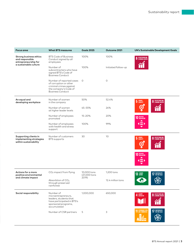| Focus area                                                                                 | <b>What BTS measures</b>                                                                                                       | <b>Goals 2025</b>                    | Outcome 2021        | <b>UN's Sustainable Development Goals</b>                        |
|--------------------------------------------------------------------------------------------|--------------------------------------------------------------------------------------------------------------------------------|--------------------------------------|---------------------|------------------------------------------------------------------|
| Strong business ethics<br>and responsible<br>entrepreneurship for<br>a sustainable culture | <b>BTS Code of Business</b><br>Conduct signed by all<br>employees                                                              | 100%                                 | 100%                | <b>8</b> DECENT WORK AND                                         |
|                                                                                            | Number of<br>subcontracters who have<br>signed BTS's Code of<br><b>Business Conduct</b>                                        | 100%                                 | Initiated follow-up |                                                                  |
|                                                                                            | Number of reported cases<br>of corruption or other<br>criminal crimes against<br>the company's Code of<br>Business Conduct     | $\circ$                              | $\circ$             |                                                                  |
| An equal and<br>developing workplace                                                       | Number of women<br>in the company                                                                                              | 50%                                  | 52.4%               | <b>8</b> DECENT WORK AND<br>GENDER<br>Equality<br>$\overline{5}$ |
|                                                                                            | Number of women<br>at higher leader levels                                                                                     | 45-55%                               | 24%                 |                                                                  |
|                                                                                            | Number of employees<br>promoted                                                                                                | 15-20%                               | 20%                 | <b>10 REDUCED</b>                                                |
|                                                                                            | Number of employees<br>with health and stress<br>support                                                                       | 100%                                 | 99%                 |                                                                  |
| Supporting clients in<br>implementing strategies<br>within sustainability                  | Number of customers<br><b>BTS</b> supports                                                                                     | 30                                   | 10                  | <b>8</b> DECENT WORK AND<br><b>5</b> GENDER                      |
|                                                                                            |                                                                                                                                |                                      |                     | <b>10 REDUCED</b>                                                |
| Actions for a more<br>positive environmental<br>and climate impact                         | CO <sub>2</sub> impact from flying                                                                                             | 10,000 tons<br>(21,000 tons<br>2019) | 1,200 tons          | 13 GLIMATE<br><b>17</b> PARTNERSHIPS                             |
|                                                                                            | Absorbtion of CO <sub>2</sub><br>through preserved<br>rainforest                                                               |                                      | 12.4 million tons   |                                                                  |
| Social responsibility                                                                      | Number of<br>microentrepreneurs,<br>leaders, students that<br>have participated in BTS's<br>sponsored programs,<br>accumulated | 1,000,000                            | 650,000             | <b>8</b> DECENT WORK AND<br>QUALITY<br>Education<br>4            |
|                                                                                            | Number of CSR partners                                                                                                         | 5                                    | 3                   | 11 SUSTAINABLE CITIES<br><b>17</b> PARTNERSHIPS                  |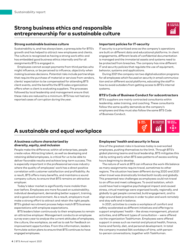# **Strong business ethics and responsible entrepreneurship for a sustainable culture**



### **Strong sustainable business culture**

Sustainability is, and has always been, a prerequisite for BTS's growth and has helped to attract new employees and clients. The culture is recognized as having a strong work ethic and has embedded good business ethics internally and for all assignments BTS is engaged in.

Employees cannot accept payments from third parties who might influence, or be perceived to influence, objectivity when making business decisions. Potential risks include partnerships that require the purchase of material or services from vendors, clients' expectation to be compensated for attending BTS client events, and the benefits the BTS sales organization offers when a client is evaluating suppliers. The processes followed by local leadership and management ensure that these risks are reduced to a minimum. BTS has not had any reported cases of corruption during the year.

### **Important policies for IT-security**

IT security is a prioritized area as the company's operations are built on different data and educational platforms. In client engagements, different levels of confidential documentation is managed and the immaterial assets and systems need to be protected from breaches. The company has nine different IT and security policies that regulate the use of equipment, behavior, systems and applications.

During 2021 the company ran two digital education programs for all employees which focused on security in email communication and on different social platforms, educating the staff in how to avoid outsiders from getting access to BTS's internal systems.

#### **BTS's Code of Business Conduct for subcontractors**

BTS's suppliers are mainly contracted consultants within leadership, sales training, and coaching. These consultants follow the same quality demands as the company's employees and they must also follow the same BTS Code of Business Conduct.



# **A sustainable and equal workplace**

#### **A business culture characterized by diversity, equity, and inclusion**

People make the difference; within all enterprises, people create value. Attracting talent, as well as developing and retaining skilled employees, is critical for us to be able to deliver favorable results and achieve long-term success. This is especially important in the professional services industry where the quality of employees' work has a direct positive correlation with customer satisfaction and profitability. As a result, BTS offers many benefits, and maintains a sound company culture, to ensure that BTS remains an attractive employer.

Today's labor market is significantly more mobile than ever before. Employees are more focused on sustainability, individual development, demanding better support, training, and a good work environment. As a result, employers must make a strong effort to attract and retain the right people. BTS's global recruitment process helps match BTS business expectations with employee expectations.

BTS leaders listen continuously to their employees to remain an attractive employer. Management conducts an employee survey every year to analyze the current attitudes of employees, the culture, the workplace, as well as to ask for feedback on improvement opportunities. From this information, leaders formulate action plans to ensure that BTS continues to have engaged employees.

## **Employees' health and security in focus**

One of the greatest risks in business today is overworked employees, pushing themselves to the limit. Through BTS's global planning teams and local leadership, BTS mitigates this risk by acting early when BTS sees patterns of excess working hours beginning to develop.

The nature of work at BTS can influence the work-life balance as many assignments require travel, sometimes to other regions. The situation has been different during 2020 and 2021 when travel was dramatically limited both locally and globally. This presented new challenges as employees could not travel to an office and meet colleagues. To avoid isolation, which could have had a negative psychological impact and caused stress, virtual meetings were organized locally, regionally, and globally to get people connected, build engagement, and to align around best practices in order to plan and work remotely and stay safe and in balance.

In 2021, activities to create a workplace of comfort and safety accelerated as different initiatives and offerings to support employees' health – like stress management, physical activities, and different types of consultation – were offered via the organization TaskHuman. Employees were offered support in areas such as mental and physical health, finance, home and family, diet, and personal development. In total the company invested 564 workdays of time, with personto-person conversations, together with TaskHuman.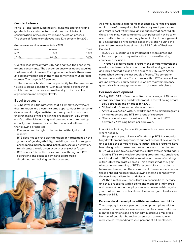# **Gender balance**

For BTS, long-term sustainability, dynamic operations and gender balance is important, and they are all taken into consideration in the recruitment and selection process. The share of female employees was 52.4 percent for 2021.

#### Average number of employees during 2021

| Men                          | Women | Total |
|------------------------------|-------|-------|
| 509<br><b>**************</b> |       |       |
| 47.6%                        | 52.4% | 100 V |

Over the last several years BTS has analyzed the gender mix among consultants. The gender balance was about equal at the lower and mid-levels. For higher leader levels there were 24 percent women and in the management team 25 percent women. The target is 50 percent.

The pandemic has led to an opportunity to offer even more flexible working conditions, with fewer long-distance trips, which may help to create more diversity in the consultant organization and at higher levels.

#### **Equal treatment**

BTS believes it is fundamental that all employees, without discrimination, are given the same opportunities for personal development and job satisfaction, enjoyment at work, and understanding of their role in the organization. BTS offers a safe and healthy working environment, characterized by equality, pluralism and respect for the individual based on the following principles:

- Everyone has the right to be treated with dignity and respect.
- BTS does not tolerate discrimination or harassment on the grounds of gender, ethnicity, disability, nationality, religion, philosophical belief, political belief, age, sexual orientation, family status, trade union activity or any other factor.
- BTS adopts fair and inclusive practices throughout BTS operations and seeks to eliminate all prejudice, discrimination, bullying and harassment.



All employees have a personal responsibility for the practical application of these principles in their day to-day activities and must report if they have an experience that contradicts these principles. Non compliance with policy will not be tolerated and is acted on accordingly by senior local management. BTS has not had any reported cases of violation during the year. All employees have signed the BTS Code of Business Conduct.

In 2021, BTS continued to implement a more direct and collective approach to questions that concern diversity, equity, and inclusion.

Through a cross/regional program the company developed a well-thought-out client orientation for diversity, equality and inclusion that builds on the program BTS South Africa established during the last couple of years. The company has made intentional efforts to secure that BTS's core values around diversity, equity and inclusion are maintained consequently in client engagements and in the internal culture.

#### **Personal development**

During 2021, BTS offered consultants an average of 10 hours of organized training and development in the following areas:

- BTS's direction and priorities for 2021.
- Digitalization's impact on the operations.
- A virtual exposition with 70 workshops of selected programs by management and BTS ten areas of expertise.
- Diversity, equity, and inclusion in North America BTS delivered 27 training hours per employee.

In addition, training for specific job roles have been delivered where needed.

For people at pivotal levels of leadership, BTS has mandatory development programs, to support personal development and to keep the company culture intact. These programs have been designed to make sure that leaders lead according to BTS's values and to ensure that the culture evolves sustainably.

During BTS's two-week onboarding program, new employees are introduced to BTS's vision, mission, and ways of working within BTS's ten practice areas. This ensures that they gain a better understanding of BTS's responsibility to its clients, fellow employees, and the environment. Senior leaders deliver these onboarding programs, allowing them to connect with the new hires by listening and discussion.

At the director level, consultants' responsibilities increase, and they are tasked with leading and managing individuals and teams. A new leader playbook was developed during the year that summarizes key elements in what great leadership means at BTS.

#### **Personal development plans with increased accountability**

The company has clear personal development plans with a number of competence levels – one plan for consultants, one plan for operations and one for administrative employees. Number of people who took a career step to a next level were 219, corresponding to 20.5 percent of all employees.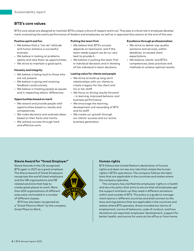# **BTS's core values**

BTS's core values are designed to maintain BTS's unique culture of respect and trust. They play a critical role in employee development, evaluating the yearly performance of leaders and employees, as well as in appraisal discussions at the end of the year.

#### **Positive spirit and fun**

- We believe that a "can do" attitude and humor enhance a successful business.
- We believe in looking at problems openly and view them as opportunities.
- We strive to maintain a good spirit.

#### **Honesty and integrity**

- We believe in being loyal to those who are not present.
- We believe in giving and receiving feedback constructively.
- We believe in treating people as equals and in respecting others' differences.

#### **Opportunities based on merit**

- We reward and provide people with opportunities based on results and competencies.
- We make decisions and evaluate ideas based on their facts and merits.
- We achieve success through hard and effective work.

#### **Putting the team first**

- We believe that BTS's success depends on teamwork, and if the team needs support we do our very best to provide it.
- We believe in putting the team first in individual decisions and in thinking of the individual in team decisions.

#### **Lasting value for clients and people**

- We strive to build up long-term relationships with our clients to create a legacy for the client and his or her staff.
- We focus on driving results forward – in learning, improved behavior and business performance.
- We encourage the learning, development and rewarding of BTS and its staff.
- We create our growth through our clients' success and our active business generation.

#### **Excellence through professionalism**

- We strive to deliver top-quality solutions and services, within deadlines, to exceed client expectations.
- We balance clients' and BTS's competencies, best practices and methods to achieve optimal results.

## **Stevie Award for "Great Employer"**

Stevie Awards in the US recognized BTS again in 2021 as a great employer. The Stevie Award of Great Employers recognizes the world's best employers and the HR organizations and HR related solutions that help to create great places to work. More than 600 organizations of different sizes were nominated in a number of different classes.



BTS has also been recognized as a "Great Place to Work" by the company Great Place to Work.

# **Human rights**

BTS follows the United Nation's declaration of human rights and does not see any risks that violate the human rights in BTS's operations. The company follows the labor laws that are applicable in the countries and states where the company operates.

The company has clarified the employees' rights in a health and security policy that aims to secure that all employees get the support and back-up they need in different situations within and outside of BTS. The policy is a guide to management teams in different countries and shall connect to the laws and regulations that are applicable in the countries and states where BTS operates. Areas included are: terms of employment, norms of behaviors, code of conduct, and how deviations are reported, employees' development, support for better health, and norms for work at the office or from home.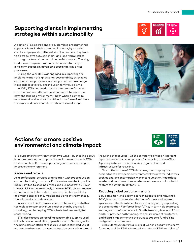# **Supporting clients in implementing strategies within sustainability**



A part of BTS's operations are customized programs that support clients in their sustainability work, by exposing clients' employees to different situations where they learn to do trade-offs between short- and long-term results with regards to environmental and safety impact. Thereby, leaders and employees get a better understanding for long-term success in developing sustainable business processes.

During the year BTS was engaged in supporting the implementation of eight clients' sustainability strategies and innovation processes, and supported culture change in regards to diversity and inclusion for twelve clients.

In 2021, BTS continued to assist the company's clients with themes around how to lead and coach teams in the new, challenging environment – both when it comes to remote work and work at the office, in the form of webinars for larger audiences and directed events/workshops.



# **Actions for a more positive environmental and climate impact**



BTS supports the environment in two ways – by thinking about how the company can impact the environment through BTS's work – and how BTS can support organizations working to improve the environment.

# **Reduce and recycle**

As a professional services organization without production or manufacturing functions, BTS's environmental impact is mainly limited to keeping offices and business travel. Nevertheless, BTS works to actively minimize BTS's environmental impact and contributes to a more sustainable society by optimizing energy consumption and using environmentally friendly products and services.

In service of this, BTS uses video-conferencing and other technology to connect virtually rather than by physically travelling, and by helping BTS's clients to do more digital conferencing.

BTS also focuses on recycling consumable supplies used in the business. In addition, operations at BTS comply with the principles of efficient resource usage (optimized use of non-renewable resources) and adopts an eco-cycle approach (recycling of resources). Of the company's offices, 41 percent reported having a sorting process for recycling at the office. A prerequisite for this is countries' organization and infrastructure for recycling.

Due to the nature of BTS's business, the company has decided not to set specific environmental targets for indicators such as energy consumption, water consumption, hazardous waste, and non-hazardous waste since these are not material factors of sustainability for BTS.

# **Reducing global carbon emissions**

BTS's ambition is to become carbon negative and has, since 2010, invested in protecting the planet's most endangered species, and the threatened forests they rely on, by supporting the organization Rainforest Trust<sup>1)</sup>. They in turn help to protect endangered rainforest areas in South America, Asia, and Africa and BTS provides both funding, to acquire acres of rainforest, and digital engagement to the trust to support fundraising and generate awareness.

Since March 2020, virtual ways of working became the norm for us, as well for BTS's clients, which reduced BTS's and clients'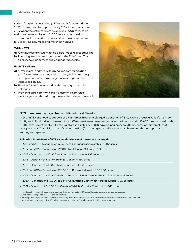carbon footprint considerably. BTS's flight footprint during 2021, was reduced by approximately 95%, in comparison with 2019 when the estimated emission was 21,000 tons, to an estimated total emission of 1,200 tons carbon dioxide.

To support the need to reduce carbon dioxide emissions BTS is driving a number of different initiatives:

#### **Within BTS:**

- a) Continue using virtual meeting platforms to reduce travelling.
- b) Investing in activities together with the Rainforest Trust to preserve rain forests and endangered species.

#### **For BTS's clients:**

- a) Offer digital and virtual learning and communication platforms to reduce the need to travel, which has a very strong impact when cross regional meetings can be conducted online.
- b) Provide for self-paced studies through digital learning solutions.
- c) Provide digital communication platforms in physical workshops, thereby reducing the need for printed material.



#### **BTS investments together with Rainforest Trust**1)

In 2021 BTS continued to support the Rainforest Trust and pledged a donation of \$10,000 to Create a Wildlife Corridor for tigers in Thailand, which meant that 1,016 acres<sup>2)</sup> were preserved, an area that can absorb 122,462 tons carbon dioxide.

BTS total investments with the Rainforest Trust, since 2010 have helped preserve 31,114<sup>3)</sup> acres of rainforest, that yearly absorbs 12.4 million tons of carbon dioxide (from being emitted in the atmosphere) and that also protects endangered species.

#### **Below is a breakdown of BTS's contributions and the acres preserved:**

- 2010 and 2011 Donation of \$20,000 to Las Tangaras, Colombia → 200 acres
- 2014 and 2015 Donation of \$12,000 to El Jaguar, Colombia → 300 acres
- 2015 Donation of \$10,000 to Sumatra, Indonesia  $\rightarrow$  2,933 acres
- 2016 Donation of \$431 to Balanga, Congo  $\rightarrow$  560 acres
- 2016 Donation of \$10,000 to Airo Pai, Peru → 9,009 acres
- 2017 and 2018 Donation of \$20,000 to Borneo, Indonesia → 10,000 acres
- 2019 Donation of \$10,000 to the Community Empowerment Project, Liberia → 4,310 acres
- 2020 Donation of \$10,000 to Save West Africa's Last Intact Forests, Liberia → 2,786 acres
- 2021 Donation of \$10,000 to Create a Wildlife Corridor, Thailand → 1,016 acres
- $1)$  Rainforest Trust purchases and preserves the most threatened tropical forests, saving endangered species.

2) One acre corresponds to 4,047 square meters.

3) Through a set-up with other partners matching BTS investments, the total protected rainforest is estimated to 63,759 acres, which absorbs an estimated 25 million tons carbon dioxide from being emitted in the atmosphere.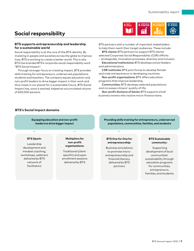# **Social responsibility**



# **BTS supports entrepreneurship and leadership for a sustainable world**

Social responsibility is at the core of the BTS identity. By investing in people and societies across the globe to improve lives, BTS is working to create a better world. This is why BTS has branded BTS's corporate social responsibility work "BTS Social Impact".

Through stronger focus on creating impact, BTS provides skills training for entrepreneurs, underserved populations, students and teachers. The company equips education and non-profit leaders to drive bigger impact in their work and thus invest in our planet for a sustainable future. BTS Social Impact has, since it started, helped an accumulated volume of 650,000 persons.

BTS partners with a number of important stakeholders to help them reach their target audiences. These include: BTS clients: BTS partners to support BTS clients'

selected Corporate Social Responsibility (CSR) efforts – strategically, innovation processes, diversity and inclusion.

Educational institutions: BTS develops school leaders and administrators.

CSR institutes: BTS joins forces to develop female and male entrepreneurs in developing countries.

Non-profit organizations: BTS offers education programs that improve leadership.

Communities: BTS develops selected populations and increases citizens' quality of life.

Non-profit divisions of banks: BTS supports small business owners who receive micro-finance loans.

# **BTS's Social Impact domains**

**Equipping education and non-profit leaders to drive bigger impact**

#### **BTS Spark:**

Leadership development and mindset coaching, workshops, webinars delivered by BTS network of facilitators

**Multipliers for non-profit organizations:**

Traditional (clientspecific) and open enrollment sessions delivered by BTS

**Providing skills training for entrepreneurs, underserved populations, communities, families, and students**

#### **BTS One for One for entrepreneurship:**

Business simulations to promote microentrepreneurship and financial literacy, delivered by BTS partners

#### **BTS Sustainable community:**

 Supporting development of local communities' sustainability through education programs for communities, entrepreneurs, families, and students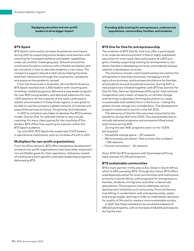**Equipping education and non-profit leaders to drive bigger impact**

# **BTS Spark**

BTS Spark continued to increase its presence and impact during 2021 by supporting school leaders and teachers with coaching for increased resilience and leader capabilities under yet another challenging year. Schools around the world were forced to continue with a flexible workplace and be innovative in how to educate students in new ways. The company's support played a vital role by helping faculties lead their institutions through the uncertainty, complexity and pressure the pandemic caused.

From the three hubs in Australia, UK and North America, BTS Spark reached over 2,300 leaders with coaching and workshop-related programs; delivered a new leader program for over 800 young leaders, and delivered webinars for over 1,300 teachers. As the majority of the work continued to satisfy school leaders in these three regions, it was great to be able to use the company's global network of coaches and expand the services to Kenya, Hong Kong, and Indonesia.

In 2021 an initiative was taken to develop the BTS business model, *One for One*, for selected clients to also include coaching; for every client paying for the coaching of five leaders, BTS offers free coaching to a person within the BTS Spark audience.

Up until 2021, BTS Spark has supported 17,472 leaders in educational institutions, with an increase of 4,431 in 2021.

## **Multipliers for non-profit organizations**

From its office network, BTS offers leadership development aimed at non-profit organizations that have other important non-profitable goals for their operations. Deliveries consist of traditional (client specific) and open leadership programs delivered by BTS.

**Providing skills training for entrepreneurs, underserved populations, communities, families, and students**

## **BTS One for One for entrepreneurship**

The ambition of BTS *One for One* is to offer a participant in an underserved environment a free or highly subsidized education for every paid client participant at a BTS program, thereby supporting training for entrepreneurs, students, families in developing countries, and underserved populations in developed countries.

The solutions include customized business simulations for entrepreneurs starting a business, managing a small agriculture business, and business simulations for families and students around household economy. During 2021, a new project was initiated together with BTS key partner for *One for One*, German Sparkassenstiftung for International Cooperation and a team of experts, on climate change and farming, to develop a farming simulation to create a sustainable and resilient farm in the future – taking the global climate change into consideration. The development program is planned to launch in the fall 2022.

The deliveries of *One for One* were less impacted by the pandemic during 2021 than 2020. This was possible due to virtually delivered programs and somewhat lifted travel restrictions during 2021.

During the year 848, programs were run for 13,876 participants.

- Household savings game 351 sessions.
- Micro business simulation "Get to know the numbers" – 336 sessions.
- Farmers simulation 161 sessions.

Since 2010 the BTS programs with Sparkassenstiftung have reached 141,376 participants.

#### **BTS sustainable communities**

BTS's main partner in this area is Avo Vision in South Africa, which is 49% owned by BTS. Through Avo Vision, BTS offers subsidized education for local communities and institutions, primarily in South Africa, with programs for entrepreneurs, families, students, immigrants and other underserved populations. The programs mainly addresses various development initiatives such as housing, financial literacy, tree felling, in combination with entrepreneurship, water and energy supply; learning in order to make better decisions for quality of life and to create a more sustainable society.

In 2021, Avo Vision reached an accumulated audience of 498,453 participants, with an increase of 48,600 participants during the year.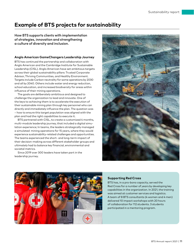# **Example of BTS projects for sustainability**

How BTS supports clients with implementation of strategies, innovation and strengthening a culture of diversity and inclusion.

### **Anglo American GameChangers Leadership Journey**

BTS has continued the partnership and collaboration with Anglo American and the Cambridge Institute for Sustainable Leadership (CISL). Anglo American have set ambitious targets across their global sustainability pillars: Trusted Corporate Advisor, Thriving Communities, and Healthy Environment. Targets include Carbon neutrality for some operations by 2030 and all by 2040. Others include water and energy reduction, school education, and increased biodiversity for areas within influence of their mining operations.

The goals are deliberately ambitious and designed to challenge the organization to lead and innovate. One of the keys to achieving them is to accelerate the execution of their sustainable mining plan through key personnel who can directly and immediately influence the plan. The question was – how to ensure this target population was aligned with the plan and had the right capabilities to execute it.

BTS partnered with CISL, to create a customized 4 months, multi-module leadership journey, that included a digital simulation experience; In teams, the leaders strategically managed a simulated mining operations for 15 years, where they would experience sustainability-related challenges and opportunities. The teams experienced the short- and long-term impact of their decision-making across different stakeholder groups and ultimately had to balance key financial, environmental and societal metrics.

Since 2019 over 300 leaders have taken part in the leadership journey.





## **Supporting Red Cross**

BTS has, in a pro-bono capacity, served the Red Cross for a number of years by developing key capabilities in the organization. In 2021, the training was aimed at customer services and logistics. A team of 8 BTS consultants (4 women and 4 men) delivered 10 impact workshops with 20 hours of collaboration for 112 students. 3 students participated in a mentoring program.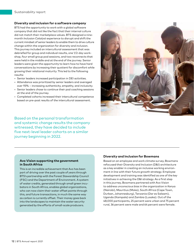## **Diversity and inclusion for a software company**

BTS had the opportunity to work with a global software company that did not like the fact that their internal culture did not match their marketplace values. BTS designed a ninemonth *Inclusion Catalyst* experience to disrupt and shift the current mindset of senior leaders to enable them to drive culture change within the organization for diversity and inclusion. This journey included an intercultural assessment that was debriefed for group and individual results, one 1/2-day workshop, four small group pod sessions, and two reconnects that were held in the middle and at the end of the journey. Senior leaders were given the opportunity to learn how to have hard conversations by increasing their quotient for discomfort while growing their relational maturity. This led to the following results:

- Senior leaders increased participation in DEI activities.
- Attendance was prioritized by senior leaders and averaged over 93% – increasing authenticity, empathy, and inclusivity.
- Senior leaders chose to continue their pod coaching sessions at the end of the journey.
- Completed cohorts increased their intercultural competence based on pre-post results of the intercultural assessment.

Based on the personal transformation and systemic change results the company witnessed, they have decided to include five next-level leader cohorts on a similar journey beginning in 2022.



#### **Avo Vision supporting the government in South Africa**

This is an incredible achievement that Avo has been part of driving over the past couple of years through BTS's partnership with the Forest Stewardship Council (FSC) and the Department of Environment. A system of water credits, generated through small green incubators in South Africa, enables global organizations, who can now claim their water offset points through this, and future transactions, in much the same way as carbon is currently offset. Their money goes back into the landscapes to maintain the water security generated by the efforts of small-scale producers.

## **Diversity and Inclusion for Bowmans**

Based on an employee and work climate survey, Bowmans refocused their Diversity and Inclusion (D&I) architecture as a key enabler in creating an inclusive working environment in line with their future growth strategy. Employee development and training was identified as one of the key initiatives in achieving the D&I strategy. As a first step in this journey, Bowmans partnered with Avo Vision to address unconscious bias in the organization in Kenya (Nairobi), Mauritius (Moka), South Africa (Cape Town, Durban, Johannesburg), Tanzania (Dar es Salaam), Uganda (Kampala) and Zambia (Lusaka). Out of the 48,000 participants, 25 percent were urban and 75 percent rural, 36 percent were male and 64 percent were female.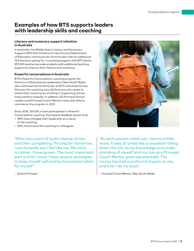# **Examples of how BTS supports leaders with leadership skills and coaching**

# **Literacy and numeracy support initiative in Australia**

In Australia, the Middle Years Literacy and Numeracy Support (MYLNS) Initiative for the Victoria Department of Education continued into its third year with an additional 150 teachers opting for a coaching program with BTS Spark. MYLNS teachers provide students with additional teaching support to improve their literacy and numeracy.

# **Powerful conversations in Australia**

BTS's *Powerful Conversations* coaching program for Directors of Educational Leadership in New South Wales also continued into its third year as BTS welcomed 22 new Directors for coaching, plus 26 Directors who opted to extend their coaching by enrolling in Supporting School Improvement modules. In addition, 60 Principal School Leaders and Principal Coach Mentors were also able to commence the program in 2021.

Since 2018, 163 DELs have participated in *Powerful Conversations* coaching. Participant feedback shows that:

- 98% have changed their leadership as a result of the coaching.
- 96% recommend the coaching to colleagues.

"After two years of quite intense stress, and then completing *Thriving for Tomorrow*, I can honestly say I feel like me. My mind is calmer. I have grown. The most important part is that I know I have several strategies to keep myself well and build positive habits for myself."

 *– School Principal*



"As each session rolled out, I learnt a little more. It was at times like a snowball rolling down the hill, as my knowledge and understanding of myself and my role as a Principal Coach Mentor grew exponentially. The course has had a profound impact on me, and how I do my work."

 *– Principal Coach Mentor, New South Wales*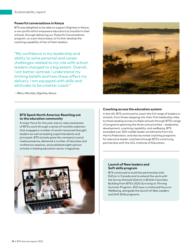# **Powerful conversations in Kenya**

BTS was delighted to be able to support Dignitas in Kenya, a non-profit which empowers educators to transform their schools, through delivering our *Powerful Conversations* program, on a pro-bono basis, to further develop the coaching capability of ten of their leaders.

"My confidence in my leadership and ability to solve personal and career challenges related to my role with school leaders changed to a big extent. Overall, I am better centred, I understand my limiting beliefs and how these affect my delivery. I am equipped with skills and attitudes to be a better coach."

 *– Mercy Munialo, Dignitas, Kenya*



#### **BTS Spark North America: Reaching out to the education community**

A major focus for the year was to raise awareness of BTS's work through a series of monthly webinars that engaged a number of world-renowned thought leaders as well as leading superintendents and principals. BTS actively grew the company's social media presence, delivered a number of keynotes and conference sessions, and published eight opinion articles in leading education sector magazines.



# **Coaching across the education system**

In the UK, BTS continued to coach the full range of leaders in schools, from those stepping into their first leadership roles, to those leading across multiple schools through BTS's range of programs spanning the three core priorities – leadership development, coaching capability, and wellbeing. BTS exceeded over 300 middle leader enrollments from the Harris Federation, and also launched coaching programs for executive leader coachees through BTS's continuing partnership with the UCL Institute of Education.

# **Launch of New leaders and Soft skills program**

BTS continued to build the partnership with EdCan in Canada and to extend the work with the Surrey Schools District in British Columbia. Building from BTS's 2020 *Surviving to Thriving* Summer Program, 2021 saw a continued focus on Wellbeing, alongside the launch of *New Leaders and Soft Skills programs*.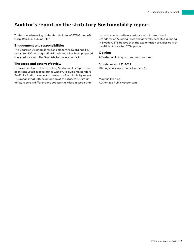# **Auditor's report on the statutory Sustainability report**

To the annual meeting of the shareholders of BTS Group AB, Corp. Reg. No.: 556566-7119

#### **Engagement and responsibilities**

The Board of Directors is responsible for the Sustainability report for 2021 on pages 85–97 and that it has been prepared in accordance with the Swedish Annual Accounts Act.

## **The scope and extent of review**

BTS examination of the statutory Sustainability report has been conducted in accordance with FAR's auditing standard RevR 12 – Auditor's report on statutory Sustainability report. This means that BTS examination of the statutory Sustainability report is different and substantially less in scope than

an audit conducted in accordance with International Standards on Auditing (ISA) and generally accepted auditing in Sweden. BTS believe that the examination provides us with a sufficient basis for BTS opinion.

#### **Opinion**

A Sustainability report has been prepared.

Stockholm, April 22, 2022 Öhrlings PricewaterhouseCoopers AB

Magnus Thorling Authorized Public Accountant